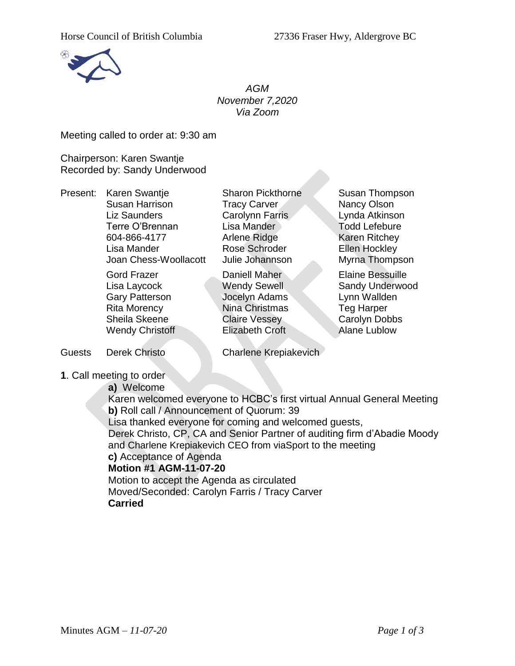

*AGM November 7,2020 Via Zoom*

Meeting called to order at: 9:30 am

Chairperson: Karen Swantje Recorded by: Sandy Underwood

Present: Karen Swantje Sharon Pickthorne Susan Thompson Susan Harrison Tracy Carver Nancy Olson Liz Saunders Carolynn Farris Lynda Atkinson Terre O'Brennan Lisa Mander Todd Lefebure 604-866-4177 Arlene Ridge Karen Ritchey Lisa Mander Rose Schroder Ellen Hockley Joan Chess-Woollacott Julie Johannson Myrna Thompson

Gord Frazer **Daniell Maher Corp. Elaine Bessuille** Gary Patterson Jocelyn Adams Lynn Wallden Rita Morency Nina Christmas Teg Harper Sheila Skeene Claire Vessey Carolyn Dobbs Wendy Christoff **Elizabeth Croft** Alane Lublow

Lisa Laycock **Wendy Sewell** Sandy Underwood

Guests Derek Christo Charlene Krepiakevich

**1**. Call meeting to order

**a)** Welcome

Karen welcomed everyone to HCBC's first virtual Annual General Meeting **b)** Roll call / Announcement of Quorum: 39 Lisa thanked everyone for coming and welcomed guests, Derek Christo, CP, CA and Senior Partner of auditing firm d'Abadie Moody

and Charlene Krepiakevich CEO from viaSport to the meeting

## **c)** Acceptance of Agenda

## **Motion #1 AGM-11-07-20**

Motion to accept the Agenda as circulated Moved/Seconded: Carolyn Farris / Tracy Carver **Carried**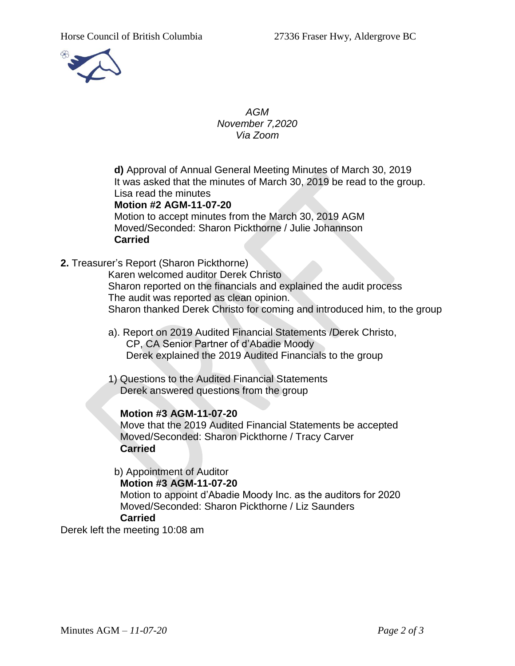

*AGM November 7,2020 Via Zoom*

**d)** Approval of Annual General Meeting Minutes of March 30, 2019 It was asked that the minutes of March 30, 2019 be read to the group. Lisa read the minutes

## **Motion #2 AGM-11-07-20**

Motion to accept minutes from the March 30, 2019 AGM Moved/Seconded: Sharon Pickthorne / Julie Johannson **Carried**

**2.** Treasurer's Report (Sharon Pickthorne)

Karen welcomed auditor Derek Christo Sharon reported on the financials and explained the audit process The audit was reported as clean opinion. Sharon thanked Derek Christo for coming and introduced him, to the group

- a). Report on 2019 Audited Financial Statements /Derek Christo, CP, CA Senior Partner of d'Abadie Moody Derek explained the 2019 Audited Financials to the group
- 1) Questions to the Audited Financial Statements Derek answered questions from the group

## **Motion #3 AGM-11-07-20**

Move that the 2019 Audited Financial Statements be accepted Moved/Seconded: Sharon Pickthorne / Tracy Carver **Carried**

b) Appointment of Auditor **Motion #3 AGM-11-07-20** Motion to appoint d'Abadie Moody Inc. as the auditors for 2020 Moved/Seconded: Sharon Pickthorne / Liz Saunders **Carried**

Derek left the meeting 10:08 am